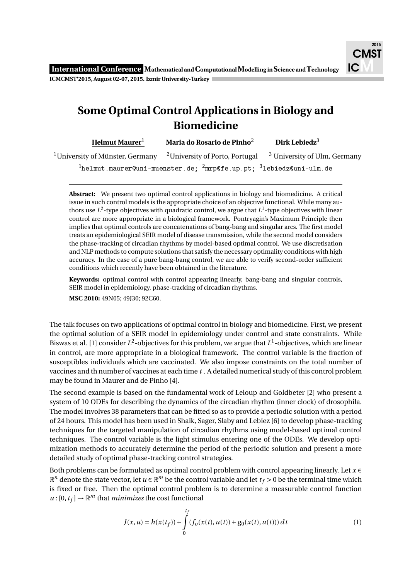## **Some Optimal Control Applications in Biology and Biomedicine**

**Helmut Maurer**<sup>1</sup> **Maria do Rosario de Pinho**<sup>2</sup> **Dirk Lebiedz**<sup>3</sup>

<sup>1</sup>University of Münster, Germany <sup>2</sup>University of Porto, Portugal <sup>3</sup> University of Ulm, Germany

 $1$ helmut.maurer@uni-muenster.de;  $2m$ rp@fe.up.pt;  $31$ ebiedz@uni-ulm.de

**Abstract:** We present two optimal control applications in biology and biomedicine. A critical issue in such control models is the appropriate choice of an objective functional. While many authors use *L* 2 -type objectives with quadratic control, we argue that *L* 1 -type objectives with linear control are more appropriate in a biological framework. Pontryagin's Maximum Principle then implies that optimal controls are concatenations of bang-bang and singular arcs. The first model treats an epidemiological SEIR model of disease transmission, while the second model considers the phase-tracking of circadian rhythms by model-based optimal control. We use discretisation and NLP methods to compute solutions that satisfy the necessary optimality conditions with high accuracy. In the case of a pure bang-bang control, we are able to verify second-order sufficient conditions which recently have been obtained in the literature.

**Keywords:** optimal control with control appearing linearly, bang-bang and singular controls, SEIR model in epidemiology, phase-tracking of circadian rhythms. **MSC 2010:** 49N05; 49J30; 92C60.

The talk focuses on two applications of optimal control in biology and biomedicine. First, we present the optimal solution of a SEIR model in epidemiology under control and state constraints. While Biswas et al. [1] consider  $L^2$ -objectives for this problem, we argue that  $L^1$ -objectives, which are linear in control, are more appropriate in a biological framework. The control variable is the fraction of susceptibles individuals which are vaccinated. We also impose constraints on the total number of vaccines and th number of vaccines at each time *t* . A detailed numerical study of this control problem may be found in Maurer and de Pinho [4].

The second example is based on the fundamental work of Leloup and Goldbeter [2] who present a system of 10 ODEs for describing the dynamics of the circadian rhythm (inner clock) of drosophila. The model involves 38 parameters that can be fitted so as to provide a periodic solution with a period of 24 hours. This model has been used in Shaik, Sager, Slaby and Lebiez [6] to develop phase-tracking techniques for the targeted manipulation of circadian rhythms using model-based optimal control techniques. The control variable is the light stimulus entering one of the ODEs. We develop optimization methods to accurately determine the period of the periodic solution and present a more detailed study of optimal phase-tracking control strategies.

Both problems can be formulated as optimal control problem with control appearing linearly. Let *x* ∈  $\mathbb{R}^n$  denote the state vector, let  $u \in \mathbb{R}^m$  be the control variable and let  $t_f > 0$  be the terminal time which is fixed or free. Then the optimal control problem is to determine a measurable control function  $u:[0, t_f] \to \mathbb{R}^m$  that *minimizes* the cost functional

$$
J(x, u) = h(x(t_f)) + \int_{0}^{t_f} (f_o(x(t), u(t)) + g_0(x(t), u(t))) dt
$$
 (1)